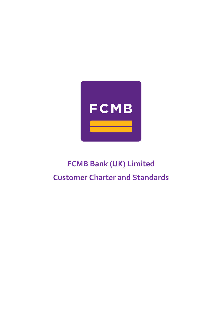

# **FCMB Bank (UK) Limited Customer Charter and Standards**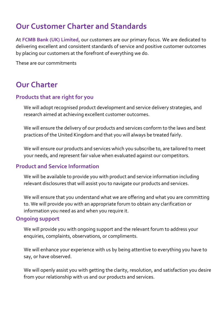# **Our Customer Charter and Standards**

At **FCMB Bank (UK) Limited**, our customers are our primary focus. We are dedicated to delivering excellent and consistent standards of service and positive customer outcomes by placing our customers at the forefront of everything we do.

These are our commitments

## **Our Charter**

### **Products that are right for you**

We will adopt recognised product development and service delivery strategies, and research aimed at achieving excellent customer outcomes.

We will ensure the delivery of our products and services conform to the laws and best practices of the United Kingdom and that you will always be treated fairly.

We will ensure our products and services which you subscribe to, are tailored to meet your needs, and represent fair value when evaluated against our competitors.

### **Product and Service Information**

We will be available to provide you with product and service information including relevant disclosures that will assist you to navigate our products and services.

We will ensure that you understand what we are offering and what you are committing to. We will provide you with an appropriate forum to obtain any clarification or information you need as and when you require it.

### **Ongoing support**

We will provide you with ongoing support and the relevant forum to address your enquiries, complaints, observations, or compliments.

We will enhance your experience with us by being attentive to everything you have to say, or have observed.

We will openly assist you with getting the clarity, resolution, and satisfaction you desire from your relationship with us and our products and services.